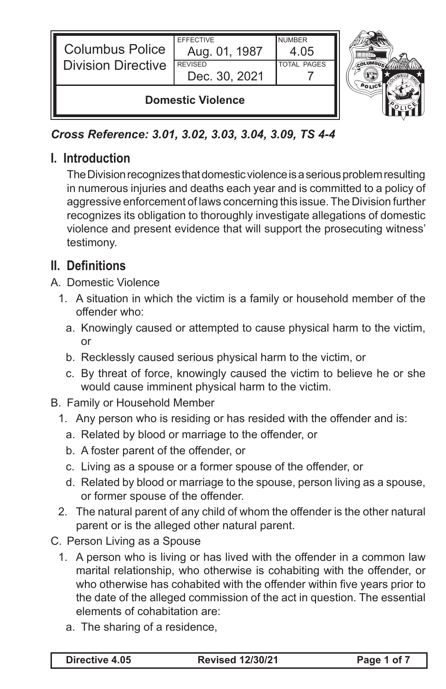| <b>Columbus Police</b><br>II<br><b>Division Directive</b> | <b>EFFECTIVE</b><br>Aug. 01, 1987<br><b>REVISED</b><br>Dec. 30, 2021 | <b>NUMBER</b><br>4.05<br><b>TOTAL PAGES</b> |  |
|-----------------------------------------------------------|----------------------------------------------------------------------|---------------------------------------------|--|
| <b>Domestic Violence</b>                                  |                                                                      |                                             |  |

## *Cross Reference: 3.01, 3.02, 3.03, 3.04, 3.09, TS 4-4*

### **I. Introduction**

The Division recognizes that domestic violence is a serious problem resulting in numerous injuries and deaths each year and is committed to a policy of aggressive enforcement of laws concerning this issue. The Division further recognizes its obligation to thoroughly investigate allegations of domestic violence and present evidence that will support the prosecuting witness' testimony.

## **II. Definitions**

- A. Domestic Violence
	- 1. A situation in which the victim is a family or household member of the offender who:
		- a. Knowingly caused or attempted to cause physical harm to the victim, or
		- b. Recklessly caused serious physical harm to the victim, or
		- c. By threat of force, knowingly caused the victim to believe he or she would cause imminent physical harm to the victim.
- B. Family or Household Member
	- 1. Any person who is residing or has resided with the offender and is:
		- a. Related by blood or marriage to the offender, or
		- b. A foster parent of the offender, or
		- c. Living as a spouse or a former spouse of the offender, or
		- d. Related by blood or marriage to the spouse, person living as a spouse, or former spouse of the offender.
	- 2. The natural parent of any child of whom the offender is the other natural parent or is the alleged other natural parent.
- C. Person Living as a Spouse
	- 1. A person who is living or has lived with the offender in a common law marital relationship, who otherwise is cohabiting with the offender, or who otherwise has cohabited with the offender within five years prior to the date of the alleged commission of the act in question. The essential elements of cohabitation are:
		- a. The sharing of a residence,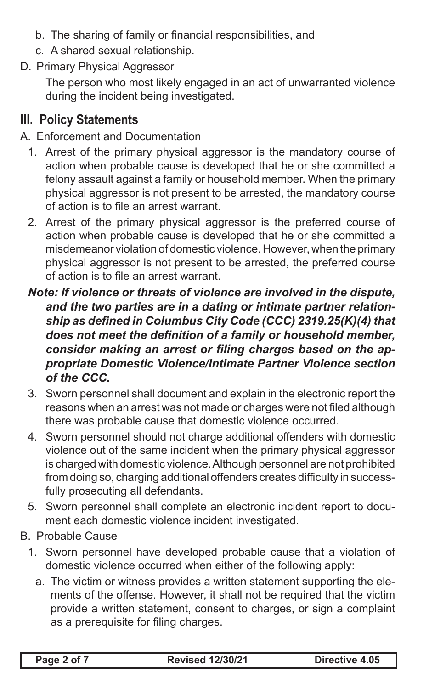- b. The sharing of family or financial responsibilities, and
- c. A shared sexual relationship.
- D. Primary Physical Aggressor

The person who most likely engaged in an act of unwarranted violence during the incident being investigated.

# **III. Policy Statements**

#### A. Enforcement and Documentation

- 1. Arrest of the primary physical aggressor is the mandatory course of action when probable cause is developed that he or she committed a felony assault against a family or household member. When the primary physical aggressor is not present to be arrested, the mandatory course of action is to file an arrest warrant.
- 2. Arrest of the primary physical aggressor is the preferred course of action when probable cause is developed that he or she committed a misdemeanor violation of domestic violence. However, when the primary physical aggressor is not present to be arrested, the preferred course of action is to file an arrest warrant.
- *Note: If violence or threats of violence are involved in the dispute, and the two parties are in a dating or intimate partner relationship as defined in Columbus City Code (CCC) 2319.25(K)(4) that does not meet the definition of a family or household member, consider making an arrest or filing charges based on the appropriate Domestic Violence/Intimate Partner Violence section of the CCC.*
- 3. Sworn personnel shall document and explain in the electronic report the reasons when an arrest was not made or charges were not filed although there was probable cause that domestic violence occurred.
- 4. Sworn personnel should not charge additional offenders with domestic violence out of the same incident when the primary physical aggressor is charged with domestic violence. Although personnel are not prohibited from doing so, charging additional offenders creates difficulty in successfully prosecuting all defendants.
- 5. Sworn personnel shall complete an electronic incident report to document each domestic violence incident investigated.
- B. Probable Cause
	- 1. Sworn personnel have developed probable cause that a violation of domestic violence occurred when either of the following apply:
		- a. The victim or witness provides a written statement supporting the elements of the offense. However, it shall not be required that the victim provide a written statement, consent to charges, or sign a complaint as a prerequisite for filing charges.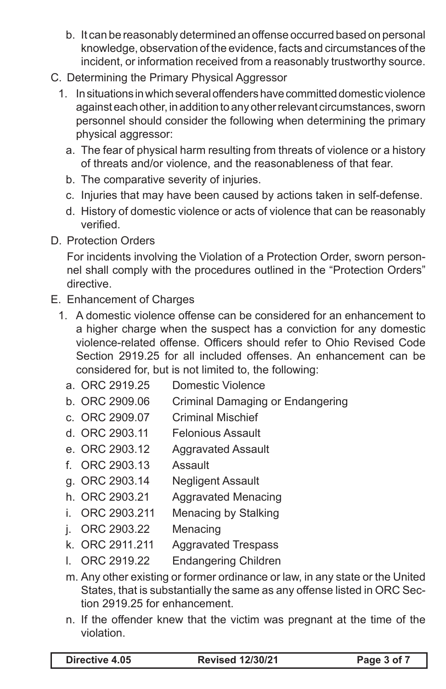- b. It can be reasonably determined an offense occurred based on personal knowledge, observation of the evidence, facts and circumstances of the incident, or information received from a reasonably trustworthy source.
- C. Determining the Primary Physical Aggressor
	- 1. In situations in which several offenders have committed domestic violence against each other, in addition to any other relevant circumstances, sworn personnel should consider the following when determining the primary physical aggressor:
		- a. The fear of physical harm resulting from threats of violence or a history of threats and/or violence, and the reasonableness of that fear.
		- b. The comparative severity of injuries.
		- c. Injuries that may have been caused by actions taken in self-defense.
		- d. History of domestic violence or acts of violence that can be reasonably verified.
- D. Protection Orders

For incidents involving the Violation of a Protection Order, sworn personnel shall comply with the procedures outlined in the "Protection Orders" directive.

- E. Enhancement of Charges
	- 1. A domestic violence offense can be considered for an enhancement to a higher charge when the suspect has a conviction for any domestic violence-related offense. Officers should refer to Ohio Revised Code Section 2919.25 for all included offenses. An enhancement can be considered for, but is not limited to, the following:
		- a. ORC 2919.25 Domestic Violence
		- b. ORC 2909.06 Criminal Damaging or Endangering
		- c. ORC 2909.07 Criminal Mischief
		- d. ORC 2903.11 Felonious Assault
		- e. ORC 2903.12 Aggravated Assault
		- f. ORC 2903.13 Assault
		- g. ORC 2903.14 Negligent Assault
		- h. ORC 2903.21 Aggravated Menacing
		- i. ORC 2903.211 Menacing by Stalking
		- j. ORC 2903.22 Menacing
		- k. ORC 2911.211 Aggravated Trespass
		- l. ORC 2919.22 Endangering Children
		- m. Any other existing or former ordinance or law, in any state or the United States, that is substantially the same as any offense listed in ORC Section 2919.25 for enhancement.
		- n. If the offender knew that the victim was pregnant at the time of the violation.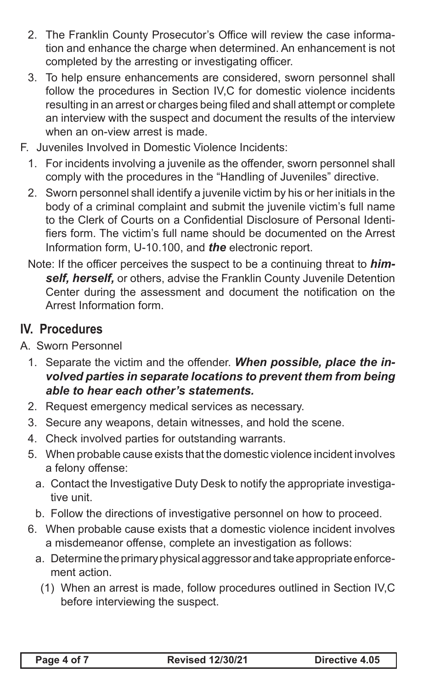- 2. The Franklin County Prosecutor's Office will review the case information and enhance the charge when determined. An enhancement is not completed by the arresting or investigating officer.
- 3. To help ensure enhancements are considered, sworn personnel shall follow the procedures in Section IV,C for domestic violence incidents resulting in an arrest or charges being filed and shall attempt or complete an interview with the suspect and document the results of the interview when an on-view arrest is made.
- F. Juveniles Involved in Domestic Violence Incidents:
	- 1. For incidents involving a juvenile as the offender, sworn personnel shall comply with the procedures in the "Handling of Juveniles" directive.
	- 2. Sworn personnel shall identify a juvenile victim by his or her initials in the body of a criminal complaint and submit the juvenile victim's full name to the Clerk of Courts on a Confidential Disclosure of Personal Identifiers form. The victim's full name should be documented on the Arrest Information form, U-10.100, and *the* electronic report.
	- Note: If the officer perceives the suspect to be a continuing threat to *himself, herself,* or others, advise the Franklin County Juvenile Detention Center during the assessment and document the notification on the Arrest Information form.

## **IV. Procedures**

- A. Sworn Personnel
	- 1. Separate the victim and the offender. *When possible, place the involved parties in separate locations to prevent them from being able to hear each other's statements.*
	- 2. Request emergency medical services as necessary.
	- 3. Secure any weapons, detain witnesses, and hold the scene.
	- 4. Check involved parties for outstanding warrants.
	- 5. When probable cause exists that the domestic violence incident involves a felony offense:
		- a. Contact the Investigative Duty Desk to notify the appropriate investigative unit.
		- b. Follow the directions of investigative personnel on how to proceed.
	- 6. When probable cause exists that a domestic violence incident involves a misdemeanor offense, complete an investigation as follows:
		- a. Determine the primary physical aggressor and take appropriate enforcement action.
			- (1) When an arrest is made, follow procedures outlined in Section IV,C before interviewing the suspect.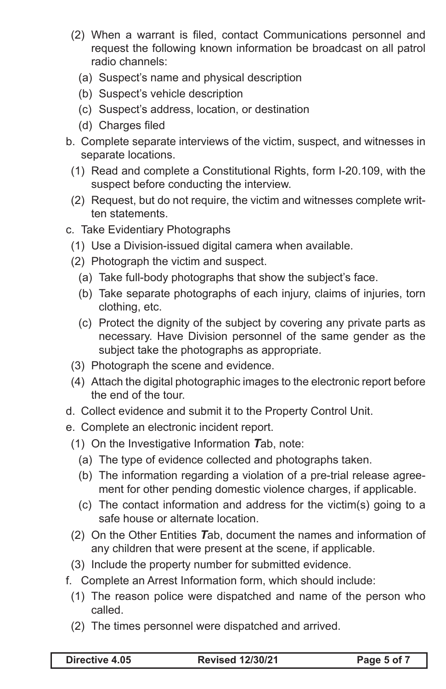- (2) When a warrant is filed, contact Communications personnel and request the following known information be broadcast on all patrol radio channels:
	- (a) Suspect's name and physical description
	- (b) Suspect's vehicle description
	- (c) Suspect's address, location, or destination
	- (d) Charges filed
- b. Complete separate interviews of the victim, suspect, and witnesses in separate locations.
	- (1) Read and complete a Constitutional Rights, form I-20.109, with the suspect before conducting the interview.
	- (2) Request, but do not require, the victim and witnesses complete written statements.
- c. Take Evidentiary Photographs
	- (1) Use a Division-issued digital camera when available.
	- (2) Photograph the victim and suspect.
		- (a) Take full-body photographs that show the subject's face.
		- (b) Take separate photographs of each injury, claims of injuries, torn clothing, etc.
		- (c) Protect the dignity of the subject by covering any private parts as necessary. Have Division personnel of the same gender as the subject take the photographs as appropriate.
	- (3) Photograph the scene and evidence.
	- (4) Attach the digital photographic images to the electronic report before the end of the tour.
- d. Collect evidence and submit it to the Property Control Unit.
- e. Complete an electronic incident report.
	- (1) On the Investigative Information *T*ab, note:
		- (a) The type of evidence collected and photographs taken.
		- (b) The information regarding a violation of a pre-trial release agreement for other pending domestic violence charges, if applicable.
		- (c) The contact information and address for the victim(s) going to a safe house or alternate location.
	- (2) On the Other Entities *T*ab, document the names and information of any children that were present at the scene, if applicable.
	- (3) Include the property number for submitted evidence.
- f. Complete an Arrest Information form, which should include:
	- (1) The reason police were dispatched and name of the person who called.
	- (2) The times personnel were dispatched and arrived.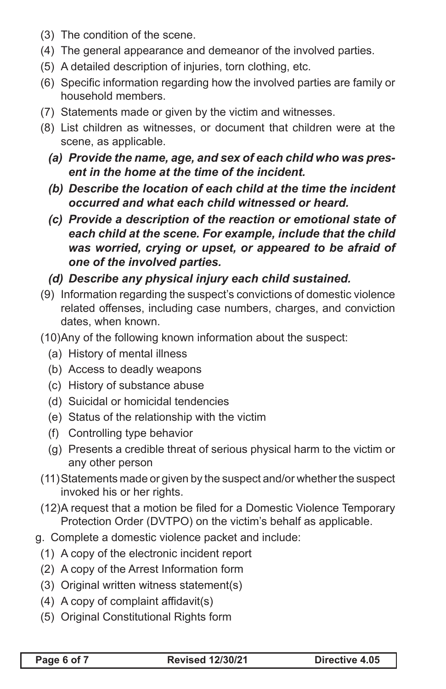- (3) The condition of the scene.
- (4) The general appearance and demeanor of the involved parties.
- (5) A detailed description of injuries, torn clothing, etc.
- (6) Specific information regarding how the involved parties are family or household members.
- (7) Statements made or given by the victim and witnesses.
- (8) List children as witnesses, or document that children were at the scene, as applicable.
	- *(a) Provide the name, age, and sex of each child who was present in the home at the time of the incident.*
	- *(b) Describe the location of each child at the time the incident occurred and what each child witnessed or heard.*
	- *(c) Provide a description of the reaction or emotional state of each child at the scene. For example, include that the child was worried, crying or upset, or appeared to be afraid of one of the involved parties.*
	- *(d) Describe any physical injury each child sustained.*
- (9) Information regarding the suspect's convictions of domestic violence related offenses, including case numbers, charges, and conviction dates, when known.
- (10)Any of the following known information about the suspect:
	- (a) History of mental illness
	- (b) Access to deadly weapons
	- (c) History of substance abuse
	- (d) Suicidal or homicidal tendencies
	- (e) Status of the relationship with the victim
	- (f) Controlling type behavior
	- (g) Presents a credible threat of serious physical harm to the victim or any other person
- (11)Statements made or given by the suspect and/or whether the suspect invoked his or her rights.
- (12)A request that a motion be filed for a Domestic Violence Temporary Protection Order (DVTPO) on the victim's behalf as applicable.
- g. Complete a domestic violence packet and include:
	- (1) A copy of the electronic incident report
	- (2) A copy of the Arrest Information form
	- (3) Original written witness statement(s)
	- (4) A copy of complaint affidavit(s)
	- (5) Original Constitutional Rights form